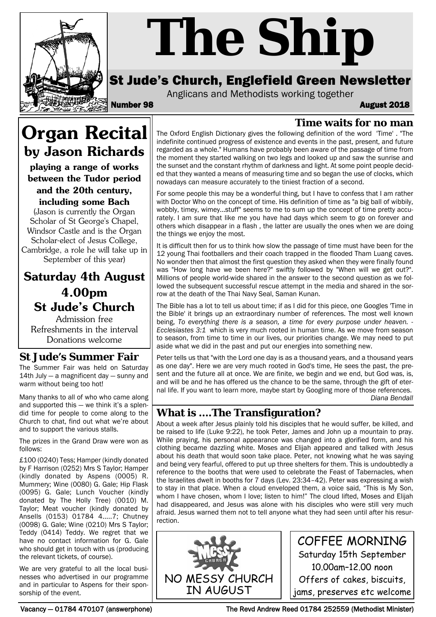

# *The Ship*

## St Jude's Church, Englefield Green Newsletter

Anglicans and Methodists working together

Number 98 August 2018

**Time waits for no man**

# **Organ Recital by Jason Richards**

**playing a range of works between the Tudor period and the 20th century, including some Bach**

(Jason is currently the Organ Scholar of St George's Chapel, Windsor Castle and is the Organ Scholar-elect of Jesus College, Cambridge, a role he will take up in September of this year)

## **Saturday 4th August 4.00pm St Jude's Church**

Admission free Refreshments in the interval Donations welcome

#### **St Jude's Summer Fair**

The Summer Fair was held on Saturday 14th July — a magnificent day — sunny and warm without being too hot!

Many thanks to all of who who came along and supported this — we think it's a splendid time for people to come along to the Church to chat, find out what we're about and to support the various stalls.

The prizes in the Grand Draw were won as follows:

£100 (0240) Tess; Hamper (kindly donated by F Harrison (0252) Mrs S Taylor; Hamper (kindly donated by Aspens (0005) R. Mummery; Wine (0080) G. Gale; Hip Flask (0095) G. Gale; Lunch Voucher (kindly donated by The Holly Tree) (0010) M. Taylor; Meat voucher (kindly donated by Ansells (0153) 01784 4.....7; Chutney (0098) G. Gale; Wine (0210) Mrs S Taylor; Teddy (0414) Teddy. We regret that we have no contact information for G. Gale who should get in touch with us (producing the relevant tickets, of course).

We are very grateful to all the local businesses who advertised in our programme and in particular to Aspens for their sponsorship of the event.

The Oxford English Dictionary gives the following definition of the word 'Time' . "The indefinite continued progress of existence and events in the past, present, and future regarded as a whole." Humans have probably been aware of the passage of time from the moment they started walking on two legs and looked up and saw the sunrise and the sunset and the constant rhythm of darkness and light. At some point people decided that they wanted a means of measuring time and so began the use of clocks, which nowadays can measure accurately to the tiniest fraction of a second.

For some people this may be a wonderful thing, but I have to confess that I am rather with Doctor Who on the concept of time. His definition of time as "a big ball of wibbily, wobbly, timey, wimey...stuff" seems to me to sum up the concept of time pretty accurately. I am sure that like me you have had days which seem to go on forever and others which disappear in a flash , the latter are usually the ones when we are doing the things we enjoy the most.

It is difficult then for us to think how slow the passage of time must have been for the 12 young Thai footballers and their coach trapped in the flooded Tham Luang caves. No wonder then that almost the first question they asked when they were finally found was "How long have we been here?" swiftly followed by "When will we get out?". Millions of people world-wide shared in the answer to the second question as we followed the subsequent successful rescue attempt in the media and shared in the sorrow at the death of the Thai Navy Seal, Saman Kunan.

The Bible has a lot to tell us about time; if as I did for this piece, one Googles 'Time in the Bible' it brings up an extraordinary number of references. The most well known being, *To everything there is a season, a time for every purpose under heaven. - Ecclesiastes 3:1* which is very much rooted in human time. As we move from season to season, from time to time in our lives, our priorities change. We may need to put aside what we did in the past and put our energies into something new.

Peter tells us that "with the Lord one day is as a thousand years, and a thousand years as one day". Here we are very much rooted in God's time, He sees the past, the present and the future all at once. We are finite, we begin and we end, but God was, is, and will be and he has offered us the chance to be the same, through the gift of eternal life. If you want to learn more, maybe start by Googling more of those references. *Diana Bendall*

## **What is ....The Transfiguration?**

About a week after Jesus plainly told his disciples that he would suffer, be killed, and be raised to life (Luke 9:22), he took Peter, James and John up a mountain to pray. While praying, his personal appearance was changed into a glorified form, and his clothing became dazzling white. Moses and Elijah appeared and talked with Jesus about his death that would soon take place. Peter, not knowing what he was saying and being very fearful, offered to put up three shelters for them. This is undoubtedly a reference to the booths that were used to celebrate the Feast of Tabernacles, when the Israelites dwelt in booths for 7 days (Lev. 23:34–42). Peter was expressing a wish to stay in that place. When a cloud enveloped them, a voice said, "This is My Son, whom I have chosen, whom I love; listen to him!" The cloud lifted, Moses and Elijah had disappeared, and Jesus was alone with his disciples who were still very much afraid. Jesus warned them not to tell anyone what they had seen until after his resurrection.



Vacancy — 01784 470107 (answerphone) The Revd Andrew Reed 01784 252559 (Methodist Minister)